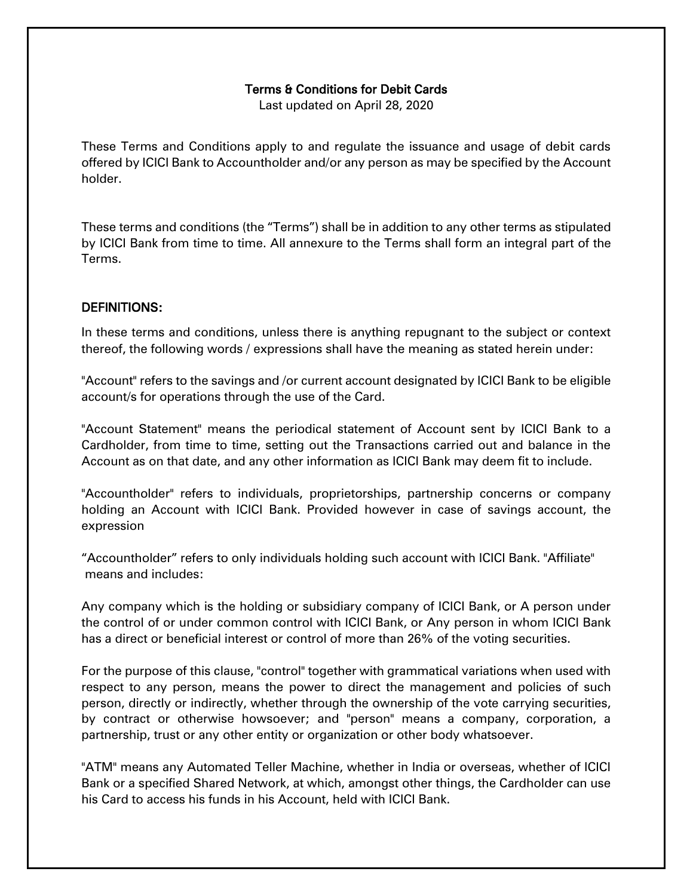#### Terms & Conditions for Debit Cards

Last updated on April 28, 2020

These Terms and Conditions apply to and regulate the issuance and usage of debit cards offered by ICICI Bank to Accountholder and/or any person as may be specified by the Account holder.

These terms and conditions (the "Terms") shall be in addition to any other terms as stipulated by ICICI Bank from time to time. All annexure to the Terms shall form an integral part of the Terms.

#### DEFINITIONS:

In these terms and conditions, unless there is anything repugnant to the subject or context thereof, the following words / expressions shall have the meaning as stated herein under:

"Account" refers to the savings and /or current account designated by ICICI Bank to be eligible account/s for operations through the use of the Card.

"Account Statement" means the periodical statement of Account sent by ICICI Bank to a Cardholder, from time to time, setting out the Transactions carried out and balance in the Account as on that date, and any other information as ICICI Bank may deem fit to include.

"Accountholder" refers to individuals, proprietorships, partnership concerns or company holding an Account with ICICI Bank. Provided however in case of savings account, the expression

"Accountholder" refers to only individuals holding such account with ICICI Bank. "Affiliate" means and includes:

Any company which is the holding or subsidiary company of ICICI Bank, or A person under the control of or under common control with ICICI Bank, or Any person in whom ICICI Bank has a direct or beneficial interest or control of more than 26% of the voting securities.

For the purpose of this clause, "control" together with grammatical variations when used with respect to any person, means the power to direct the management and policies of such person, directly or indirectly, whether through the ownership of the vote carrying securities, by contract or otherwise howsoever; and "person" means a company, corporation, a partnership, trust or any other entity or organization or other body whatsoever.

"ATM" means any Automated Teller Machine, whether in India or overseas, whether of ICICI Bank or a specified Shared Network, at which, amongst other things, the Cardholder can use his Card to access his funds in his Account, held with ICICI Bank.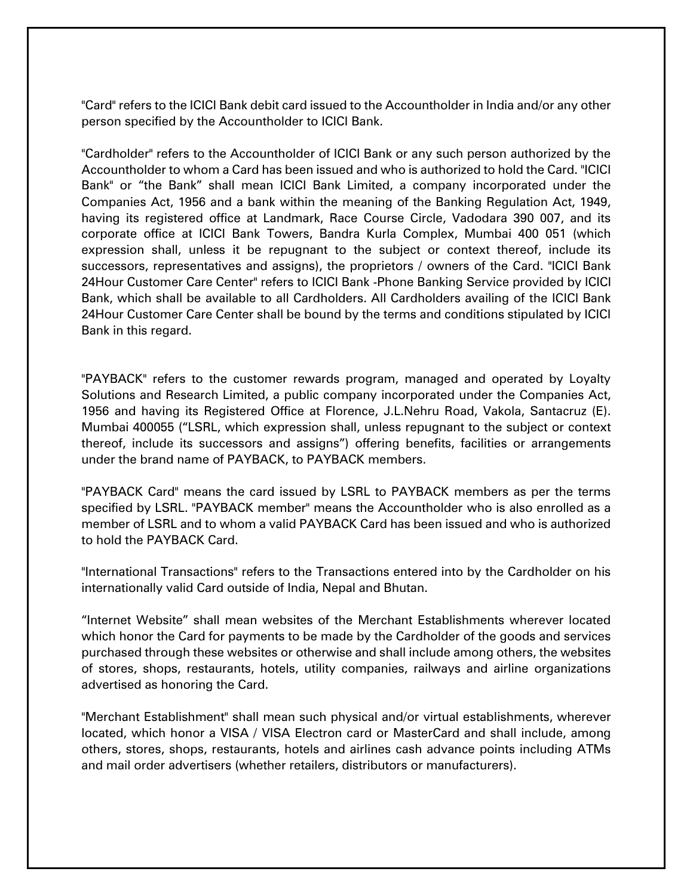"Card" refers to the ICICI Bank debit card issued to the Accountholder in India and/or any other person specified by the Accountholder to ICICI Bank.

"Cardholder" refers to the Accountholder of ICICI Bank or any such person authorized by the Accountholder to whom a Card has been issued and who is authorized to hold the Card. "ICICI Bank" or "the Bank" shall mean ICICI Bank Limited, a company incorporated under the Companies Act, 1956 and a bank within the meaning of the Banking Regulation Act, 1949, having its registered office at Landmark, Race Course Circle, Vadodara 390 007, and its corporate office at ICICI Bank Towers, Bandra Kurla Complex, Mumbai 400 051 (which expression shall, unless it be repugnant to the subject or context thereof, include its successors, representatives and assigns), the proprietors / owners of the Card. "ICICI Bank 24Hour Customer Care Center" refers to ICICI Bank -Phone Banking Service provided by ICICI Bank, which shall be available to all Cardholders. All Cardholders availing of the ICICI Bank 24Hour Customer Care Center shall be bound by the terms and conditions stipulated by ICICI Bank in this regard.

"PAYBACK" refers to the customer rewards program, managed and operated by Loyalty Solutions and Research Limited, a public company incorporated under the Companies Act, 1956 and having its Registered Office at Florence, J.L.Nehru Road, Vakola, Santacruz (E). Mumbai 400055 ("LSRL, which expression shall, unless repugnant to the subject or context thereof, include its successors and assigns") offering benefits, facilities or arrangements under the brand name of PAYBACK, to PAYBACK members.

"PAYBACK Card" means the card issued by LSRL to PAYBACK members as per the terms specified by LSRL. "PAYBACK member" means the Accountholder who is also enrolled as a member of LSRL and to whom a valid PAYBACK Card has been issued and who is authorized to hold the PAYBACK Card.

"International Transactions" refers to the Transactions entered into by the Cardholder on his internationally valid Card outside of India, Nepal and Bhutan.

"Internet Website" shall mean websites of the Merchant Establishments wherever located which honor the Card for payments to be made by the Cardholder of the goods and services purchased through these websites or otherwise and shall include among others, the websites of stores, shops, restaurants, hotels, utility companies, railways and airline organizations advertised as honoring the Card.

"Merchant Establishment" shall mean such physical and/or virtual establishments, wherever located, which honor a VISA / VISA Electron card or MasterCard and shall include, among others, stores, shops, restaurants, hotels and airlines cash advance points including ATMs and mail order advertisers (whether retailers, distributors or manufacturers).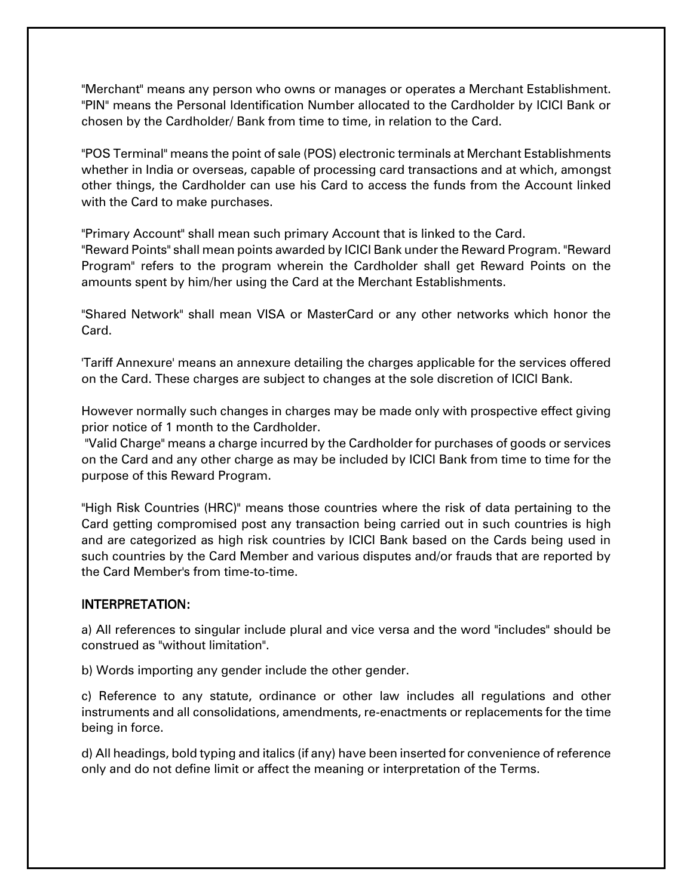"Merchant" means any person who owns or manages or operates a Merchant Establishment. "PIN" means the Personal Identification Number allocated to the Cardholder by ICICI Bank or chosen by the Cardholder/ Bank from time to time, in relation to the Card.

"POS Terminal" means the point of sale (POS) electronic terminals at Merchant Establishments whether in India or overseas, capable of processing card transactions and at which, amongst other things, the Cardholder can use his Card to access the funds from the Account linked with the Card to make purchases.

"Primary Account" shall mean such primary Account that is linked to the Card.

"Reward Points" shall mean points awarded by ICICI Bank under the Reward Program. "Reward Program" refers to the program wherein the Cardholder shall get Reward Points on the amounts spent by him/her using the Card at the Merchant Establishments.

"Shared Network" shall mean VISA or MasterCard or any other networks which honor the Card.

'Tariff Annexure' means an annexure detailing the charges applicable for the services offered on the Card. These charges are subject to changes at the sole discretion of ICICI Bank.

However normally such changes in charges may be made only with prospective effect giving prior notice of 1 month to the Cardholder.

"Valid Charge" means a charge incurred by the Cardholder for purchases of goods or services on the Card and any other charge as may be included by ICICI Bank from time to time for the purpose of this Reward Program.

"High Risk Countries (HRC)" means those countries where the risk of data pertaining to the Card getting compromised post any transaction being carried out in such countries is high and are categorized as high risk countries by ICICI Bank based on the Cards being used in such countries by the Card Member and various disputes and/or frauds that are reported by the Card Member's from time-to-time.

# INTERPRETATION:

a) All references to singular include plural and vice versa and the word "includes" should be construed as "without limitation".

b) Words importing any gender include the other gender.

c) Reference to any statute, ordinance or other law includes all regulations and other instruments and all consolidations, amendments, re-enactments or replacements for the time being in force.

d) All headings, bold typing and italics (if any) have been inserted for convenience of reference only and do not define limit or affect the meaning or interpretation of the Terms.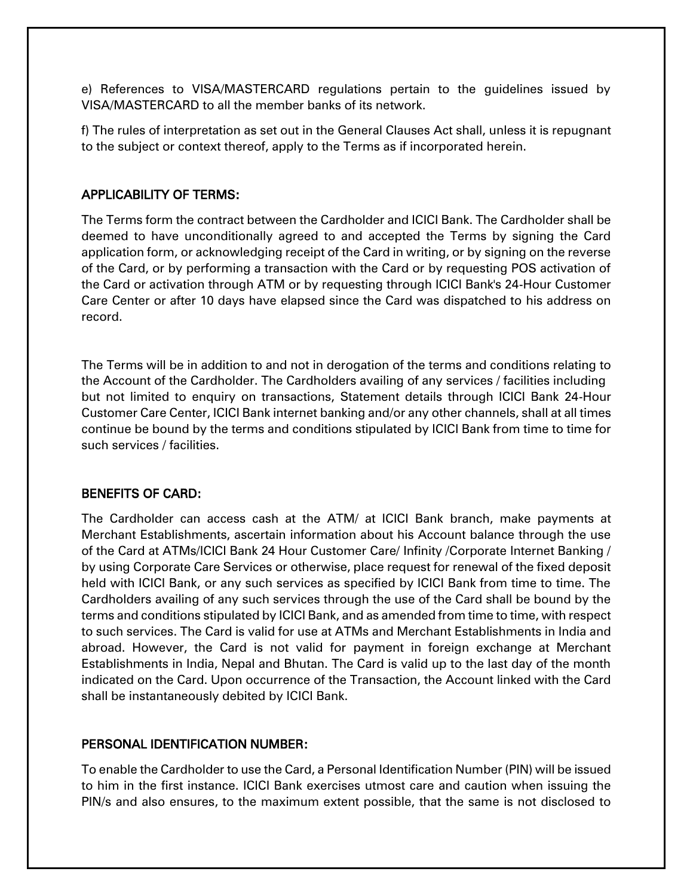e) References to VISA/MASTERCARD regulations pertain to the guidelines issued by VISA/MASTERCARD to all the member banks of its network.

f) The rules of interpretation as set out in the General Clauses Act shall, unless it is repugnant to the subject or context thereof, apply to the Terms as if incorporated herein.

### APPLICABILITY OF TERMS:

The Terms form the contract between the Cardholder and ICICI Bank. The Cardholder shall be deemed to have unconditionally agreed to and accepted the Terms by signing the Card application form, or acknowledging receipt of the Card in writing, or by signing on the reverse of the Card, or by performing a transaction with the Card or by requesting POS activation of the Card or activation through ATM or by requesting through ICICI Bank's 24-Hour Customer Care Center or after 10 days have elapsed since the Card was dispatched to his address on record.

The Terms will be in addition to and not in derogation of the terms and conditions relating to the Account of the Cardholder. The Cardholders availing of any services / facilities including but not limited to enquiry on transactions, Statement details through ICICI Bank 24-Hour Customer Care Center, ICICI Bank internet banking and/or any other channels, shall at all times continue be bound by the terms and conditions stipulated by ICICI Bank from time to time for such services / facilities.

#### BENEFITS OF CARD:

The Cardholder can access cash at the ATM/ at ICICI Bank branch, make payments at Merchant Establishments, ascertain information about his Account balance through the use of the Card at ATMs/ICICI Bank 24 Hour Customer Care/ Infinity /Corporate Internet Banking / by using Corporate Care Services or otherwise, place request for renewal of the fixed deposit held with ICICI Bank, or any such services as specified by ICICI Bank from time to time. The Cardholders availing of any such services through the use of the Card shall be bound by the terms and conditions stipulated by ICICI Bank, and as amended from time to time, with respect to such services. The Card is valid for use at ATMs and Merchant Establishments in India and abroad. However, the Card is not valid for payment in foreign exchange at Merchant Establishments in India, Nepal and Bhutan. The Card is valid up to the last day of the month indicated on the Card. Upon occurrence of the Transaction, the Account linked with the Card shall be instantaneously debited by ICICI Bank.

# PERSONAL IDENTIFICATION NUMBER:

To enable the Cardholder to use the Card, a Personal Identification Number (PIN) will be issued to him in the first instance. ICICI Bank exercises utmost care and caution when issuing the PIN/s and also ensures, to the maximum extent possible, that the same is not disclosed to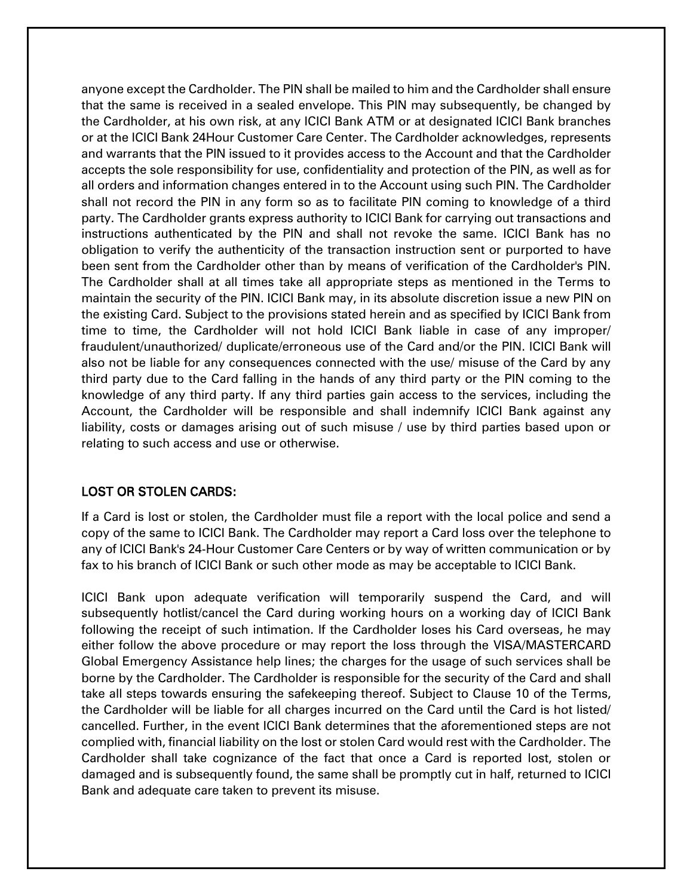anyone except the Cardholder. The PIN shall be mailed to him and the Cardholder shall ensure that the same is received in a sealed envelope. This PIN may subsequently, be changed by the Cardholder, at his own risk, at any ICICI Bank ATM or at designated ICICI Bank branches or at the ICICI Bank 24Hour Customer Care Center. The Cardholder acknowledges, represents and warrants that the PIN issued to it provides access to the Account and that the Cardholder accepts the sole responsibility for use, confidentiality and protection of the PIN, as well as for all orders and information changes entered in to the Account using such PIN. The Cardholder shall not record the PIN in any form so as to facilitate PIN coming to knowledge of a third party. The Cardholder grants express authority to ICICI Bank for carrying out transactions and instructions authenticated by the PIN and shall not revoke the same. ICICI Bank has no obligation to verify the authenticity of the transaction instruction sent or purported to have been sent from the Cardholder other than by means of verification of the Cardholder's PIN. The Cardholder shall at all times take all appropriate steps as mentioned in the Terms to maintain the security of the PIN. ICICI Bank may, in its absolute discretion issue a new PIN on the existing Card. Subject to the provisions stated herein and as specified by ICICI Bank from time to time, the Cardholder will not hold ICICI Bank liable in case of any improper/ fraudulent/unauthorized/ duplicate/erroneous use of the Card and/or the PIN. ICICI Bank will also not be liable for any consequences connected with the use/ misuse of the Card by any third party due to the Card falling in the hands of any third party or the PIN coming to the knowledge of any third party. If any third parties gain access to the services, including the Account, the Cardholder will be responsible and shall indemnify ICICI Bank against any liability, costs or damages arising out of such misuse / use by third parties based upon or relating to such access and use or otherwise.

# LOST OR STOLEN CARDS:

If a Card is lost or stolen, the Cardholder must file a report with the local police and send a copy of the same to ICICI Bank. The Cardholder may report a Card loss over the telephone to any of ICICI Bank's 24-Hour Customer Care Centers or by way of written communication or by fax to his branch of ICICI Bank or such other mode as may be acceptable to ICICI Bank.

ICICI Bank upon adequate verification will temporarily suspend the Card, and will subsequently hotlist/cancel the Card during working hours on a working day of ICICI Bank following the receipt of such intimation. If the Cardholder loses his Card overseas, he may either follow the above procedure or may report the loss through the VISA/MASTERCARD Global Emergency Assistance help lines; the charges for the usage of such services shall be borne by the Cardholder. The Cardholder is responsible for the security of the Card and shall take all steps towards ensuring the safekeeping thereof. Subject to Clause 10 of the Terms, the Cardholder will be liable for all charges incurred on the Card until the Card is hot listed/ cancelled. Further, in the event ICICI Bank determines that the aforementioned steps are not complied with, financial liability on the lost or stolen Card would rest with the Cardholder. The Cardholder shall take cognizance of the fact that once a Card is reported lost, stolen or damaged and is subsequently found, the same shall be promptly cut in half, returned to ICICI Bank and adequate care taken to prevent its misuse.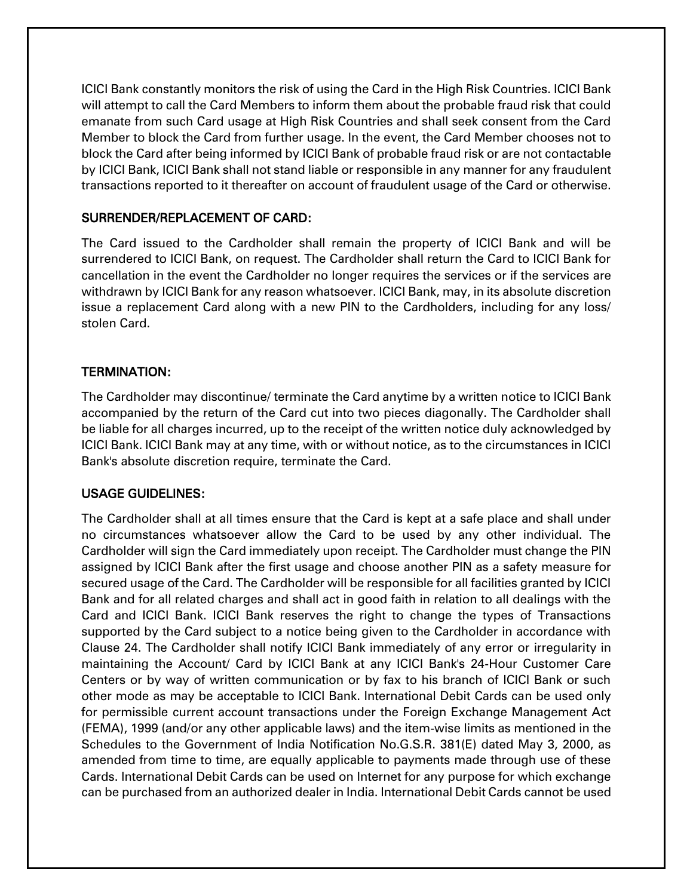ICICI Bank constantly monitors the risk of using the Card in the High Risk Countries. ICICI Bank will attempt to call the Card Members to inform them about the probable fraud risk that could emanate from such Card usage at High Risk Countries and shall seek consent from the Card Member to block the Card from further usage. In the event, the Card Member chooses not to block the Card after being informed by ICICI Bank of probable fraud risk or are not contactable by ICICI Bank, ICICI Bank shall not stand liable or responsible in any manner for any fraudulent transactions reported to it thereafter on account of fraudulent usage of the Card or otherwise.

# SURRENDER/REPLACEMENT OF CARD:

The Card issued to the Cardholder shall remain the property of ICICI Bank and will be surrendered to ICICI Bank, on request. The Cardholder shall return the Card to ICICI Bank for cancellation in the event the Cardholder no longer requires the services or if the services are withdrawn by ICICI Bank for any reason whatsoever. ICICI Bank, may, in its absolute discretion issue a replacement Card along with a new PIN to the Cardholders, including for any loss/ stolen Card.

# TERMINATION:

The Cardholder may discontinue/ terminate the Card anytime by a written notice to ICICI Bank accompanied by the return of the Card cut into two pieces diagonally. The Cardholder shall be liable for all charges incurred, up to the receipt of the written notice duly acknowledged by ICICI Bank. ICICI Bank may at any time, with or without notice, as to the circumstances in ICICI Bank's absolute discretion require, terminate the Card.

# USAGE GUIDELINES:

The Cardholder shall at all times ensure that the Card is kept at a safe place and shall under no circumstances whatsoever allow the Card to be used by any other individual. The Cardholder will sign the Card immediately upon receipt. The Cardholder must change the PIN assigned by ICICI Bank after the first usage and choose another PIN as a safety measure for secured usage of the Card. The Cardholder will be responsible for all facilities granted by ICICI Bank and for all related charges and shall act in good faith in relation to all dealings with the Card and ICICI Bank. ICICI Bank reserves the right to change the types of Transactions supported by the Card subject to a notice being given to the Cardholder in accordance with Clause 24. The Cardholder shall notify ICICI Bank immediately of any error or irregularity in maintaining the Account/ Card by ICICI Bank at any ICICI Bank's 24-Hour Customer Care Centers or by way of written communication or by fax to his branch of ICICI Bank or such other mode as may be acceptable to ICICI Bank. International Debit Cards can be used only for permissible current account transactions under the Foreign Exchange Management Act (FEMA), 1999 (and/or any other applicable laws) and the item-wise limits as mentioned in the Schedules to the Government of India Notification No.G.S.R. 381(E) dated May 3, 2000, as amended from time to time, are equally applicable to payments made through use of these Cards. International Debit Cards can be used on Internet for any purpose for which exchange can be purchased from an authorized dealer in India. International Debit Cards cannot be used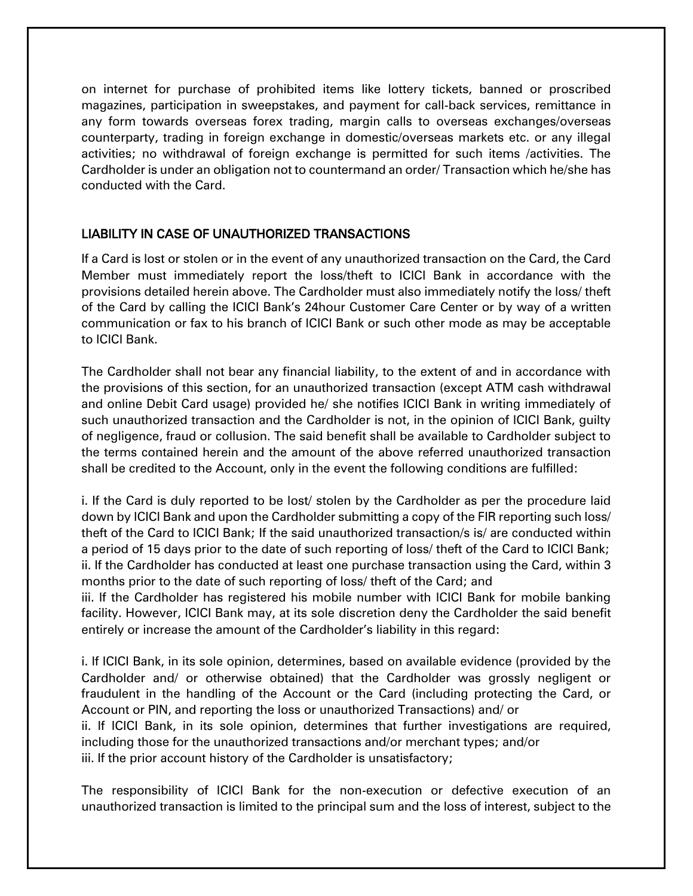on internet for purchase of prohibited items like lottery tickets, banned or proscribed magazines, participation in sweepstakes, and payment for call-back services, remittance in any form towards overseas forex trading, margin calls to overseas exchanges/overseas counterparty, trading in foreign exchange in domestic/overseas markets etc. or any illegal activities; no withdrawal of foreign exchange is permitted for such items /activities. The Cardholder is under an obligation not to countermand an order/ Transaction which he/she has conducted with the Card.

# LIABILITY IN CASE OF UNAUTHORIZED TRANSACTIONS

If a Card is lost or stolen or in the event of any unauthorized transaction on the Card, the Card Member must immediately report the loss/theft to ICICI Bank in accordance with the provisions detailed herein above. The Cardholder must also immediately notify the loss/ theft of the Card by calling the ICICI Bank's 24hour Customer Care Center or by way of a written communication or fax to his branch of ICICI Bank or such other mode as may be acceptable to ICICI Bank.

The Cardholder shall not bear any financial liability, to the extent of and in accordance with the provisions of this section, for an unauthorized transaction (except ATM cash withdrawal and online Debit Card usage) provided he/ she notifies ICICI Bank in writing immediately of such unauthorized transaction and the Cardholder is not, in the opinion of ICICI Bank, guilty of negligence, fraud or collusion. The said benefit shall be available to Cardholder subject to the terms contained herein and the amount of the above referred unauthorized transaction shall be credited to the Account, only in the event the following conditions are fulfilled:

i. If the Card is duly reported to be lost/ stolen by the Cardholder as per the procedure laid down by ICICI Bank and upon the Cardholder submitting a copy of the FIR reporting such loss/ theft of the Card to ICICI Bank; If the said unauthorized transaction/s is/ are conducted within a period of 15 days prior to the date of such reporting of loss/ theft of the Card to ICICI Bank; ii. If the Cardholder has conducted at least one purchase transaction using the Card, within 3 months prior to the date of such reporting of loss/ theft of the Card; and

iii. If the Cardholder has registered his mobile number with ICICI Bank for mobile banking facility. However, ICICI Bank may, at its sole discretion deny the Cardholder the said benefit entirely or increase the amount of the Cardholder's liability in this regard:

i. If ICICI Bank, in its sole opinion, determines, based on available evidence (provided by the Cardholder and/ or otherwise obtained) that the Cardholder was grossly negligent or fraudulent in the handling of the Account or the Card (including protecting the Card, or Account or PIN, and reporting the loss or unauthorized Transactions) and/ or ii. If ICICI Bank, in its sole opinion, determines that further investigations are required, including those for the unauthorized transactions and/or merchant types; and/or iii. If the prior account history of the Cardholder is unsatisfactory;

The responsibility of ICICI Bank for the non-execution or defective execution of an unauthorized transaction is limited to the principal sum and the loss of interest, subject to the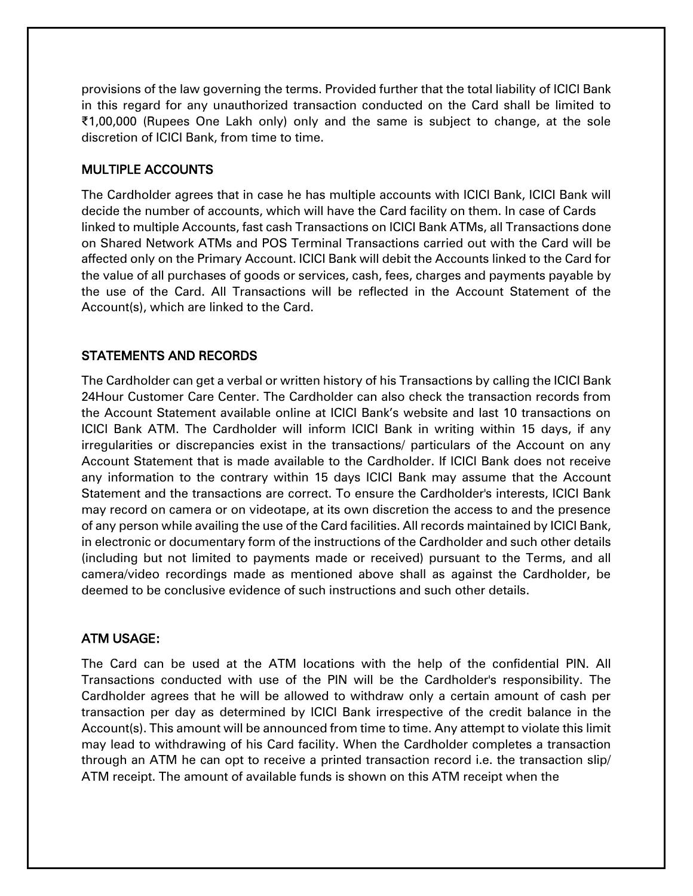provisions of the law governing the terms. Provided further that the total liability of ICICI Bank in this regard for any unauthorized transaction conducted on the Card shall be limited to ₹1,00,000 (Rupees One Lakh only) only and the same is subject to change, at the sole discretion of ICICI Bank, from time to time.

# MULTIPLE ACCOUNTS

The Cardholder agrees that in case he has multiple accounts with ICICI Bank, ICICI Bank will decide the number of accounts, which will have the Card facility on them. In case of Cards linked to multiple Accounts, fast cash Transactions on ICICI Bank ATMs, all Transactions done on Shared Network ATMs and POS Terminal Transactions carried out with the Card will be affected only on the Primary Account. ICICI Bank will debit the Accounts linked to the Card for the value of all purchases of goods or services, cash, fees, charges and payments payable by the use of the Card. All Transactions will be reflected in the Account Statement of the Account(s), which are linked to the Card.

# STATEMENTS AND RECORDS

The Cardholder can get a verbal or written history of his Transactions by calling the ICICI Bank 24Hour Customer Care Center. The Cardholder can also check the transaction records from the Account Statement available online at ICICI Bank's website and last 10 transactions on ICICI Bank ATM. The Cardholder will inform ICICI Bank in writing within 15 days, if any irregularities or discrepancies exist in the transactions/ particulars of the Account on any Account Statement that is made available to the Cardholder. If ICICI Bank does not receive any information to the contrary within 15 days ICICI Bank may assume that the Account Statement and the transactions are correct. To ensure the Cardholder's interests, ICICI Bank may record on camera or on videotape, at its own discretion the access to and the presence of any person while availing the use of the Card facilities. All records maintained by ICICI Bank, in electronic or documentary form of the instructions of the Cardholder and such other details (including but not limited to payments made or received) pursuant to the Terms, and all camera/video recordings made as mentioned above shall as against the Cardholder, be deemed to be conclusive evidence of such instructions and such other details.

# ATM USAGE:

The Card can be used at the ATM locations with the help of the confidential PIN. All Transactions conducted with use of the PIN will be the Cardholder's responsibility. The Cardholder agrees that he will be allowed to withdraw only a certain amount of cash per transaction per day as determined by ICICI Bank irrespective of the credit balance in the Account(s). This amount will be announced from time to time. Any attempt to violate this limit may lead to withdrawing of his Card facility. When the Cardholder completes a transaction through an ATM he can opt to receive a printed transaction record i.e. the transaction slip/ ATM receipt. The amount of available funds is shown on this ATM receipt when the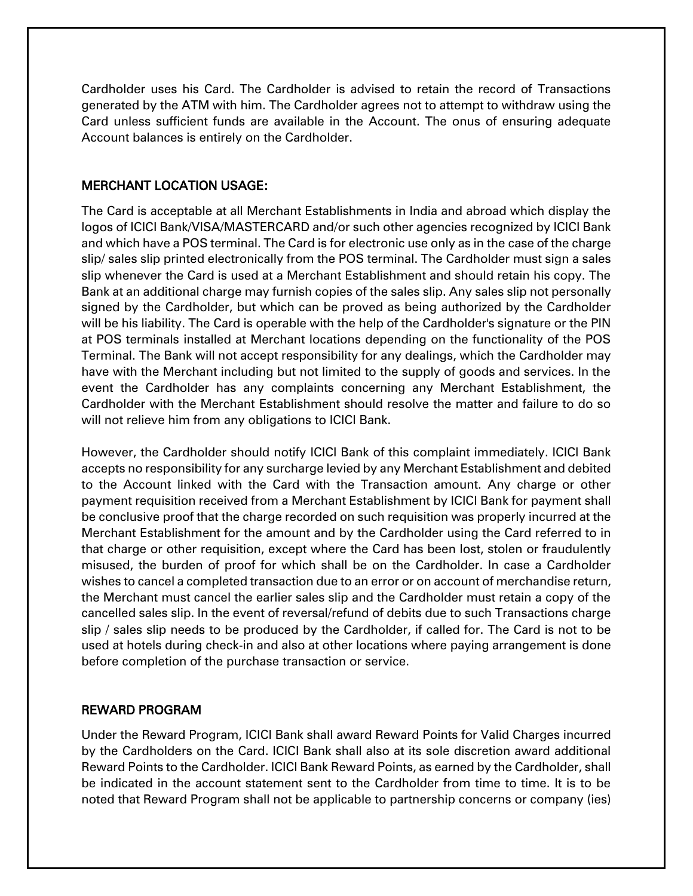Cardholder uses his Card. The Cardholder is advised to retain the record of Transactions generated by the ATM with him. The Cardholder agrees not to attempt to withdraw using the Card unless sufficient funds are available in the Account. The onus of ensuring adequate Account balances is entirely on the Cardholder.

### MERCHANT LOCATION USAGE:

The Card is acceptable at all Merchant Establishments in India and abroad which display the logos of ICICI Bank/VISA/MASTERCARD and/or such other agencies recognized by ICICI Bank and which have a POS terminal. The Card is for electronic use only as in the case of the charge slip/ sales slip printed electronically from the POS terminal. The Cardholder must sign a sales slip whenever the Card is used at a Merchant Establishment and should retain his copy. The Bank at an additional charge may furnish copies of the sales slip. Any sales slip not personally signed by the Cardholder, but which can be proved as being authorized by the Cardholder will be his liability. The Card is operable with the help of the Cardholder's signature or the PIN at POS terminals installed at Merchant locations depending on the functionality of the POS Terminal. The Bank will not accept responsibility for any dealings, which the Cardholder may have with the Merchant including but not limited to the supply of goods and services. In the event the Cardholder has any complaints concerning any Merchant Establishment, the Cardholder with the Merchant Establishment should resolve the matter and failure to do so will not relieve him from any obligations to ICICI Bank.

However, the Cardholder should notify ICICI Bank of this complaint immediately. ICICI Bank accepts no responsibility for any surcharge levied by any Merchant Establishment and debited to the Account linked with the Card with the Transaction amount. Any charge or other payment requisition received from a Merchant Establishment by ICICI Bank for payment shall be conclusive proof that the charge recorded on such requisition was properly incurred at the Merchant Establishment for the amount and by the Cardholder using the Card referred to in that charge or other requisition, except where the Card has been lost, stolen or fraudulently misused, the burden of proof for which shall be on the Cardholder. In case a Cardholder wishes to cancel a completed transaction due to an error or on account of merchandise return, the Merchant must cancel the earlier sales slip and the Cardholder must retain a copy of the cancelled sales slip. In the event of reversal/refund of debits due to such Transactions charge slip / sales slip needs to be produced by the Cardholder, if called for. The Card is not to be used at hotels during check-in and also at other locations where paying arrangement is done before completion of the purchase transaction or service.

# REWARD PROGRAM

Under the Reward Program, ICICI Bank shall award Reward Points for Valid Charges incurred by the Cardholders on the Card. ICICI Bank shall also at its sole discretion award additional Reward Points to the Cardholder. ICICI Bank Reward Points, as earned by the Cardholder, shall be indicated in the account statement sent to the Cardholder from time to time. It is to be noted that Reward Program shall not be applicable to partnership concerns or company (ies)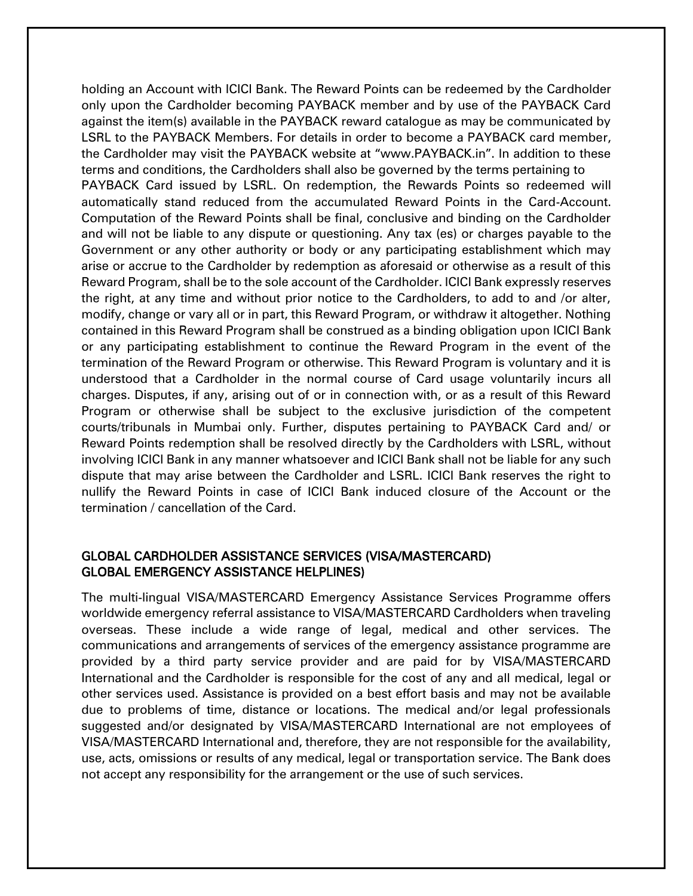holding an Account with ICICI Bank. The Reward Points can be redeemed by the Cardholder only upon the Cardholder becoming PAYBACK member and by use of the PAYBACK Card against the item(s) available in the PAYBACK reward catalogue as may be communicated by LSRL to the PAYBACK Members. For details in order to become a PAYBACK card member, the Cardholder may visit the PAYBACK website at "www.PAYBACK.in". In addition to these terms and conditions, the Cardholders shall also be governed by the terms pertaining to PAYBACK Card issued by LSRL. On redemption, the Rewards Points so redeemed will automatically stand reduced from the accumulated Reward Points in the Card-Account. Computation of the Reward Points shall be final, conclusive and binding on the Cardholder and will not be liable to any dispute or questioning. Any tax (es) or charges payable to the Government or any other authority or body or any participating establishment which may arise or accrue to the Cardholder by redemption as aforesaid or otherwise as a result of this Reward Program, shall be to the sole account of the Cardholder. ICICI Bank expressly reserves the right, at any time and without prior notice to the Cardholders, to add to and /or alter, modify, change or vary all or in part, this Reward Program, or withdraw it altogether. Nothing contained in this Reward Program shall be construed as a binding obligation upon ICICI Bank or any participating establishment to continue the Reward Program in the event of the termination of the Reward Program or otherwise. This Reward Program is voluntary and it is understood that a Cardholder in the normal course of Card usage voluntarily incurs all charges. Disputes, if any, arising out of or in connection with, or as a result of this Reward Program or otherwise shall be subject to the exclusive jurisdiction of the competent courts/tribunals in Mumbai only. Further, disputes pertaining to PAYBACK Card and/ or Reward Points redemption shall be resolved directly by the Cardholders with LSRL, without involving ICICI Bank in any manner whatsoever and ICICI Bank shall not be liable for any such dispute that may arise between the Cardholder and LSRL. ICICI Bank reserves the right to nullify the Reward Points in case of ICICI Bank induced closure of the Account or the termination / cancellation of the Card.

### GLOBAL CARDHOLDER ASSISTANCE SERVICES (VISA/MASTERCARD) GLOBAL EMERGENCY ASSISTANCE HELPLINES)

The multi-lingual VISA/MASTERCARD Emergency Assistance Services Programme offers worldwide emergency referral assistance to VISA/MASTERCARD Cardholders when traveling overseas. These include a wide range of legal, medical and other services. The communications and arrangements of services of the emergency assistance programme are provided by a third party service provider and are paid for by VISA/MASTERCARD International and the Cardholder is responsible for the cost of any and all medical, legal or other services used. Assistance is provided on a best effort basis and may not be available due to problems of time, distance or locations. The medical and/or legal professionals suggested and/or designated by VISA/MASTERCARD International are not employees of VISA/MASTERCARD International and, therefore, they are not responsible for the availability, use, acts, omissions or results of any medical, legal or transportation service. The Bank does not accept any responsibility for the arrangement or the use of such services.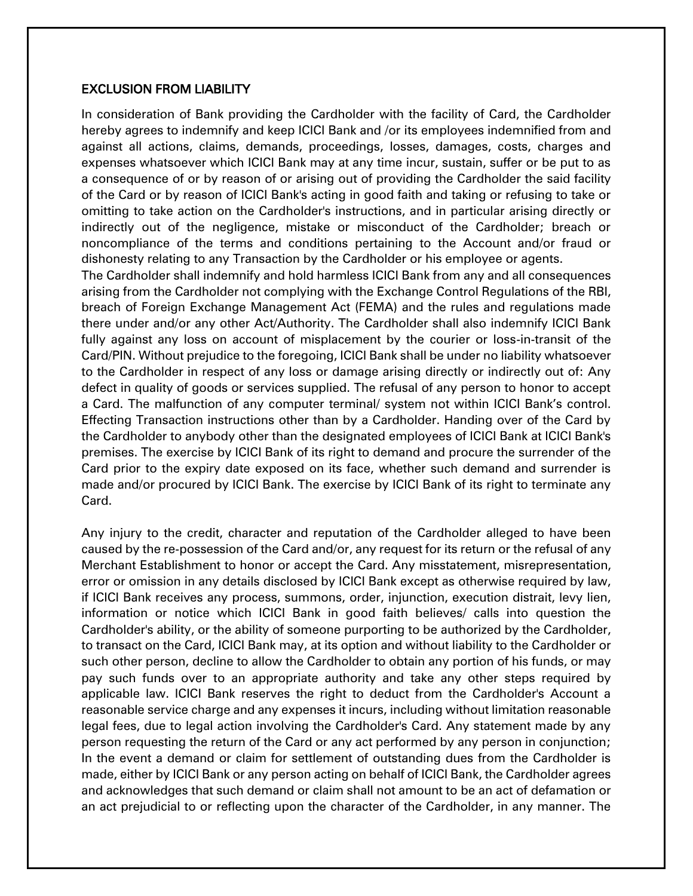#### EXCLUSION FROM LIABILITY

In consideration of Bank providing the Cardholder with the facility of Card, the Cardholder hereby agrees to indemnify and keep ICICI Bank and /or its employees indemnified from and against all actions, claims, demands, proceedings, losses, damages, costs, charges and expenses whatsoever which ICICI Bank may at any time incur, sustain, suffer or be put to as a consequence of or by reason of or arising out of providing the Cardholder the said facility of the Card or by reason of ICICI Bank's acting in good faith and taking or refusing to take or omitting to take action on the Cardholder's instructions, and in particular arising directly or indirectly out of the negligence, mistake or misconduct of the Cardholder; breach or noncompliance of the terms and conditions pertaining to the Account and/or fraud or dishonesty relating to any Transaction by the Cardholder or his employee or agents.

The Cardholder shall indemnify and hold harmless ICICI Bank from any and all consequences arising from the Cardholder not complying with the Exchange Control Regulations of the RBI, breach of Foreign Exchange Management Act (FEMA) and the rules and regulations made there under and/or any other Act/Authority. The Cardholder shall also indemnify ICICI Bank fully against any loss on account of misplacement by the courier or loss-in-transit of the Card/PIN. Without prejudice to the foregoing, ICICI Bank shall be under no liability whatsoever to the Cardholder in respect of any loss or damage arising directly or indirectly out of: Any defect in quality of goods or services supplied. The refusal of any person to honor to accept a Card. The malfunction of any computer terminal/ system not within ICICI Bank's control. Effecting Transaction instructions other than by a Cardholder. Handing over of the Card by the Cardholder to anybody other than the designated employees of ICICI Bank at ICICI Bank's premises. The exercise by ICICI Bank of its right to demand and procure the surrender of the Card prior to the expiry date exposed on its face, whether such demand and surrender is made and/or procured by ICICI Bank. The exercise by ICICI Bank of its right to terminate any Card.

Any injury to the credit, character and reputation of the Cardholder alleged to have been caused by the re-possession of the Card and/or, any request for its return or the refusal of any Merchant Establishment to honor or accept the Card. Any misstatement, misrepresentation, error or omission in any details disclosed by ICICI Bank except as otherwise required by law, if ICICI Bank receives any process, summons, order, injunction, execution distrait, levy lien, information or notice which ICICI Bank in good faith believes/ calls into question the Cardholder's ability, or the ability of someone purporting to be authorized by the Cardholder, to transact on the Card, ICICI Bank may, at its option and without liability to the Cardholder or such other person, decline to allow the Cardholder to obtain any portion of his funds, or may pay such funds over to an appropriate authority and take any other steps required by applicable law. ICICI Bank reserves the right to deduct from the Cardholder's Account a reasonable service charge and any expenses it incurs, including without limitation reasonable legal fees, due to legal action involving the Cardholder's Card. Any statement made by any person requesting the return of the Card or any act performed by any person in conjunction; In the event a demand or claim for settlement of outstanding dues from the Cardholder is made, either by ICICI Bank or any person acting on behalf of ICICI Bank, the Cardholder agrees and acknowledges that such demand or claim shall not amount to be an act of defamation or an act prejudicial to or reflecting upon the character of the Cardholder, in any manner. The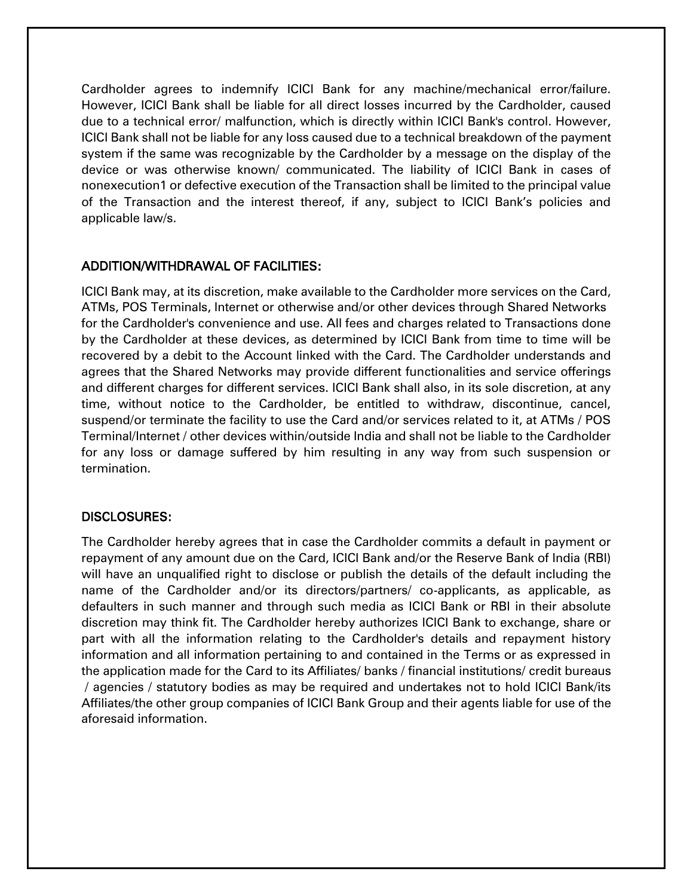Cardholder agrees to indemnify ICICI Bank for any machine/mechanical error/failure. However, ICICI Bank shall be liable for all direct losses incurred by the Cardholder, caused due to a technical error/ malfunction, which is directly within ICICI Bank's control. However, ICICI Bank shall not be liable for any loss caused due to a technical breakdown of the payment system if the same was recognizable by the Cardholder by a message on the display of the device or was otherwise known/ communicated. The liability of ICICI Bank in cases of nonexecution1 or defective execution of the Transaction shall be limited to the principal value of the Transaction and the interest thereof, if any, subject to ICICI Bank's policies and applicable law/s.

### ADDITION/WITHDRAWAL OF FACILITIES:

ICICI Bank may, at its discretion, make available to the Cardholder more services on the Card, ATMs, POS Terminals, Internet or otherwise and/or other devices through Shared Networks for the Cardholder's convenience and use. All fees and charges related to Transactions done by the Cardholder at these devices, as determined by ICICI Bank from time to time will be recovered by a debit to the Account linked with the Card. The Cardholder understands and agrees that the Shared Networks may provide different functionalities and service offerings and different charges for different services. ICICI Bank shall also, in its sole discretion, at any time, without notice to the Cardholder, be entitled to withdraw, discontinue, cancel, suspend/or terminate the facility to use the Card and/or services related to it, at ATMs / POS Terminal/Internet / other devices within/outside India and shall not be liable to the Cardholder for any loss or damage suffered by him resulting in any way from such suspension or termination.

#### DISCLOSURES:

The Cardholder hereby agrees that in case the Cardholder commits a default in payment or repayment of any amount due on the Card, ICICI Bank and/or the Reserve Bank of India (RBI) will have an unqualified right to disclose or publish the details of the default including the name of the Cardholder and/or its directors/partners/ co-applicants, as applicable, as defaulters in such manner and through such media as ICICI Bank or RBI in their absolute discretion may think fit. The Cardholder hereby authorizes ICICI Bank to exchange, share or part with all the information relating to the Cardholder's details and repayment history information and all information pertaining to and contained in the Terms or as expressed in the application made for the Card to its Affiliates/ banks / financial institutions/ credit bureaus / agencies / statutory bodies as may be required and undertakes not to hold ICICI Bank/its Affiliates/the other group companies of ICICI Bank Group and their agents liable for use of the aforesaid information.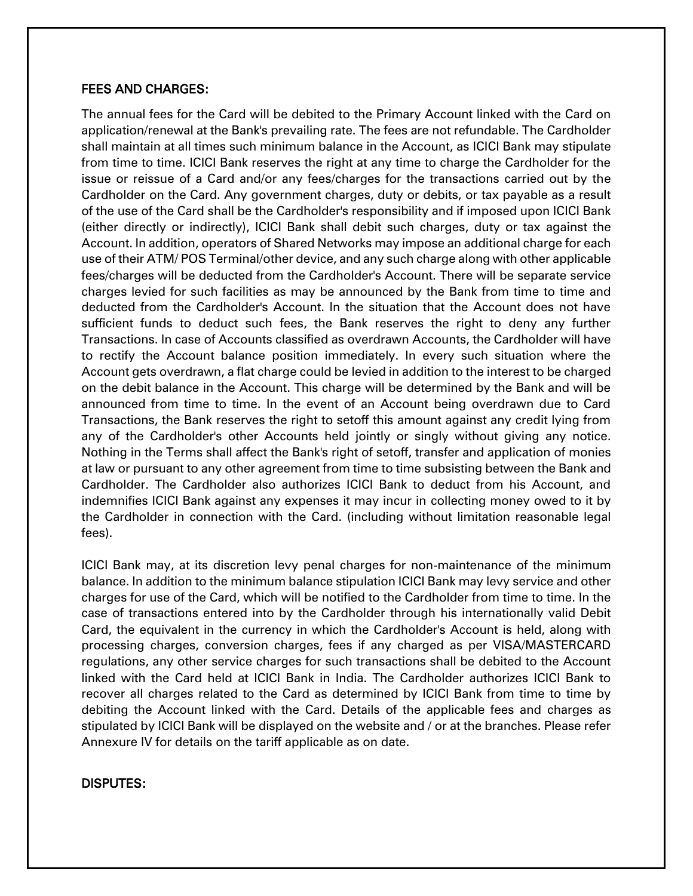#### FEES AND CHARGES:

The annual fees for the Card will be debited to the Primary Account linked with the Card on application/renewal at the Bank's prevailing rate. The fees are not refundable. The Cardholder shall maintain at all times such minimum balance in the Account, as ICICI Bank may stipulate from time to time. ICICI Bank reserves the right at any time to charge the Cardholder for the issue or reissue of a Card and/or any fees/charges for the transactions carried out by the Cardholder on the Card. Any government charges, duty or debits, or tax payable as a result of the use of the Card shall be the Cardholder's responsibility and if imposed upon ICICI Bank (either directly or indirectly), ICICI Bank shall debit such charges, duty or tax against the Account. In addition, operators of Shared Networks may impose an additional charge for each use of their ATM/ POS Terminal/other device, and any such charge along with other applicable fees/charges will be deducted from the Cardholder's Account. There will be separate service charges levied for such facilities as may be announced by the Bank from time to time and deducted from the Cardholder's Account. In the situation that the Account does not have sufficient funds to deduct such fees, the Bank reserves the right to deny any further Transactions. In case of Accounts classified as overdrawn Accounts, the Cardholder will have to rectify the Account balance position immediately. In every such situation where the Account gets overdrawn, a flat charge could be levied in addition to the interest to be charged on the debit balance in the Account. This charge will be determined by the Bank and will be announced from time to time. In the event of an Account being overdrawn due to Card Transactions, the Bank reserves the right to setoff this amount against any credit lying from any of the Cardholder's other Accounts held jointly or singly without giving any notice. Nothing in the Terms shall affect the Bank's right of setoff, transfer and application of monies at law or pursuant to any other agreement from time to time subsisting between the Bank and Cardholder. The Cardholder also authorizes ICICI Bank to deduct from his Account, and indemnifies ICICI Bank against any expenses it may incur in collecting money owed to it by the Cardholder in connection with the Card. (including without limitation reasonable legal fees).

ICICI Bank may, at its discretion levy penal charges for non-maintenance of the minimum balance. In addition to the minimum balance stipulation ICICI Bank may levy service and other charges for use of the Card, which will be notified to the Cardholder from time to time. In the case of transactions entered into by the Cardholder through his internationally valid Debit Card, the equivalent in the currency in which the Cardholder's Account is held, along with processing charges, conversion charges, fees if any charged as per VISA/MASTERCARD regulations, any other service charges for such transactions shall be debited to the Account linked with the Card held at ICICI Bank in India. The Cardholder authorizes ICICI Bank to recover all charges related to the Card as determined by ICICI Bank from time to time by debiting the Account linked with the Card. Details of the applicable fees and charges as stipulated by ICICI Bank will be displayed on the website and / or at the branches. Please refer Annexure IV for details on the tariff applicable as on date.

#### DISPUTES: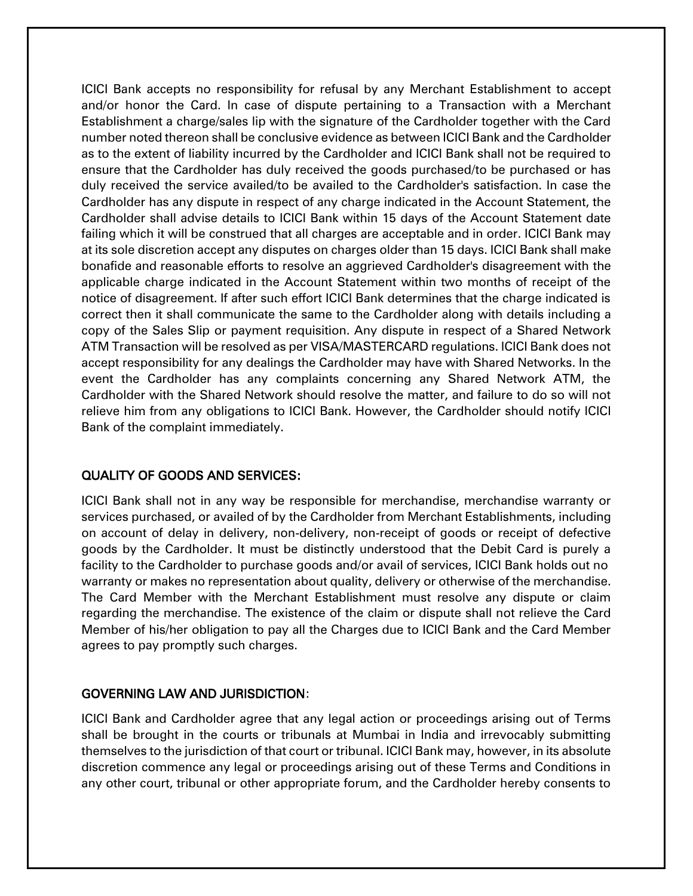ICICI Bank accepts no responsibility for refusal by any Merchant Establishment to accept and/or honor the Card. In case of dispute pertaining to a Transaction with a Merchant Establishment a charge/sales lip with the signature of the Cardholder together with the Card number noted thereon shall be conclusive evidence as between ICICI Bank and the Cardholder as to the extent of liability incurred by the Cardholder and ICICI Bank shall not be required to ensure that the Cardholder has duly received the goods purchased/to be purchased or has duly received the service availed/to be availed to the Cardholder's satisfaction. In case the Cardholder has any dispute in respect of any charge indicated in the Account Statement, the Cardholder shall advise details to ICICI Bank within 15 days of the Account Statement date failing which it will be construed that all charges are acceptable and in order. ICICI Bank may at its sole discretion accept any disputes on charges older than 15 days. ICICI Bank shall make bonafide and reasonable efforts to resolve an aggrieved Cardholder's disagreement with the applicable charge indicated in the Account Statement within two months of receipt of the notice of disagreement. If after such effort ICICI Bank determines that the charge indicated is correct then it shall communicate the same to the Cardholder along with details including a copy of the Sales Slip or payment requisition. Any dispute in respect of a Shared Network ATM Transaction will be resolved as per VISA/MASTERCARD regulations. ICICI Bank does not accept responsibility for any dealings the Cardholder may have with Shared Networks. In the event the Cardholder has any complaints concerning any Shared Network ATM, the Cardholder with the Shared Network should resolve the matter, and failure to do so will not relieve him from any obligations to ICICI Bank. However, the Cardholder should notify ICICI Bank of the complaint immediately.

#### QUALITY OF GOODS AND SERVICES:

ICICI Bank shall not in any way be responsible for merchandise, merchandise warranty or services purchased, or availed of by the Cardholder from Merchant Establishments, including on account of delay in delivery, non-delivery, non-receipt of goods or receipt of defective goods by the Cardholder. It must be distinctly understood that the Debit Card is purely a facility to the Cardholder to purchase goods and/or avail of services, ICICI Bank holds out no warranty or makes no representation about quality, delivery or otherwise of the merchandise. The Card Member with the Merchant Establishment must resolve any dispute or claim regarding the merchandise. The existence of the claim or dispute shall not relieve the Card Member of his/her obligation to pay all the Charges due to ICICI Bank and the Card Member agrees to pay promptly such charges.

#### GOVERNING LAW AND JURISDICTION:

ICICI Bank and Cardholder agree that any legal action or proceedings arising out of Terms shall be brought in the courts or tribunals at Mumbai in India and irrevocably submitting themselves to the jurisdiction of that court or tribunal. ICICI Bank may, however, in its absolute discretion commence any legal or proceedings arising out of these Terms and Conditions in any other court, tribunal or other appropriate forum, and the Cardholder hereby consents to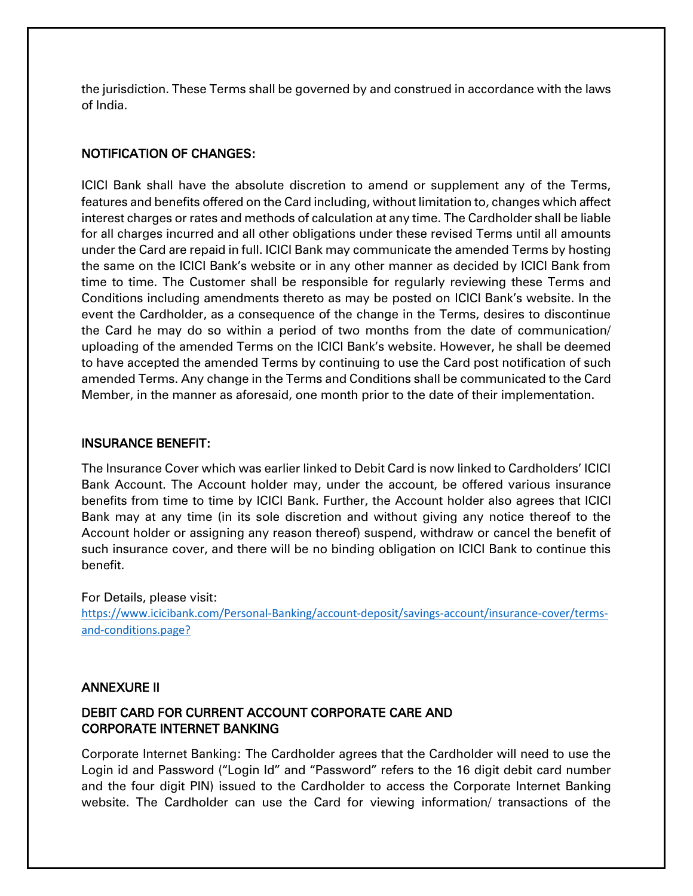the jurisdiction. These Terms shall be governed by and construed in accordance with the laws of India.

# NOTIFICATION OF CHANGES:

ICICI Bank shall have the absolute discretion to amend or supplement any of the Terms, features and benefits offered on the Card including, without limitation to, changes which affect interest charges or rates and methods of calculation at any time. The Cardholder shall be liable for all charges incurred and all other obligations under these revised Terms until all amounts under the Card are repaid in full. ICICI Bank may communicate the amended Terms by hosting the same on the ICICI Bank's website or in any other manner as decided by ICICI Bank from time to time. The Customer shall be responsible for regularly reviewing these Terms and Conditions including amendments thereto as may be posted on ICICI Bank's website. In the event the Cardholder, as a consequence of the change in the Terms, desires to discontinue the Card he may do so within a period of two months from the date of communication/ uploading of the amended Terms on the ICICI Bank's website. However, he shall be deemed to have accepted the amended Terms by continuing to use the Card post notification of such amended Terms. Any change in the Terms and Conditions shall be communicated to the Card Member, in the manner as aforesaid, one month prior to the date of their implementation.

#### INSURANCE BENEFIT:

The Insurance Cover which was earlier linked to Debit Card is now linked to Cardholders' ICICI Bank Account. The Account holder may, under the account, be offered various insurance benefits from time to time by ICICI Bank. Further, the Account holder also agrees that ICICI Bank may at any time (in its sole discretion and without giving any notice thereof to the Account holder or assigning any reason thereof) suspend, withdraw or cancel the benefit of such insurance cover, and there will be no binding obligation on ICICI Bank to continue this benefit.

For Details, please visit: [https://www.icicibank.com/Personal-Banking/account-deposit/savings-account/insurance-cover/terms](https://www.icicibank.com/Personal-Banking/account-deposit/savings-account/insurance-cover/terms-and-conditions.page?)[and-conditions.page?](https://www.icicibank.com/Personal-Banking/account-deposit/savings-account/insurance-cover/terms-and-conditions.page?)

#### ANNEXURE II

# DEBIT CARD FOR CURRENT ACCOUNT CORPORATE CARE AND CORPORATE INTERNET BANKING

Corporate Internet Banking: The Cardholder agrees that the Cardholder will need to use the Login id and Password ("Login Id" and "Password" refers to the 16 digit debit card number and the four digit PIN) issued to the Cardholder to access the Corporate Internet Banking website. The Cardholder can use the Card for viewing information/ transactions of the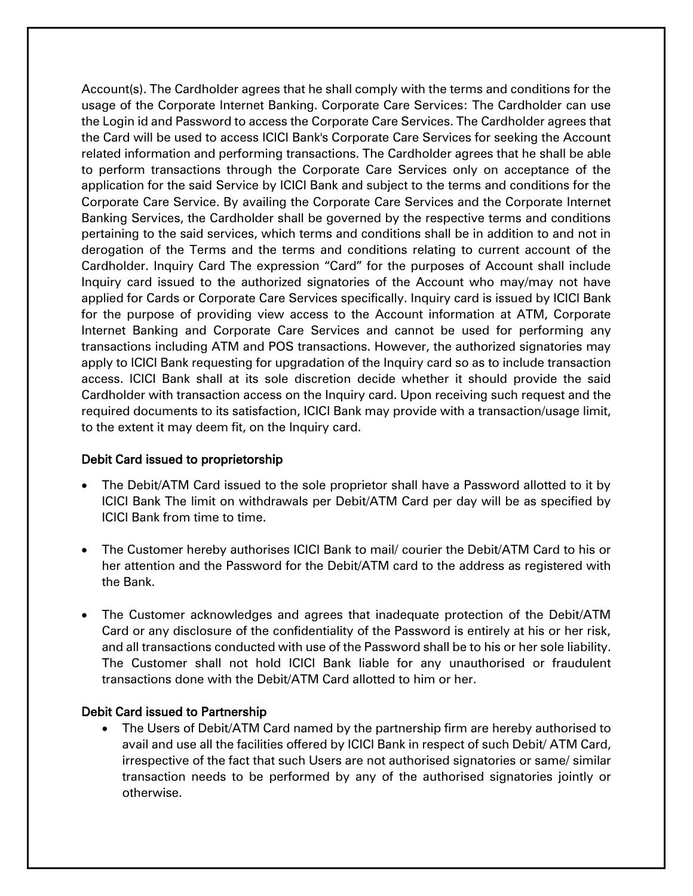Account(s). The Cardholder agrees that he shall comply with the terms and conditions for the usage of the Corporate Internet Banking. Corporate Care Services: The Cardholder can use the Login id and Password to access the Corporate Care Services. The Cardholder agrees that the Card will be used to access ICICI Bank's Corporate Care Services for seeking the Account related information and performing transactions. The Cardholder agrees that he shall be able to perform transactions through the Corporate Care Services only on acceptance of the application for the said Service by ICICI Bank and subject to the terms and conditions for the Corporate Care Service. By availing the Corporate Care Services and the Corporate Internet Banking Services, the Cardholder shall be governed by the respective terms and conditions pertaining to the said services, which terms and conditions shall be in addition to and not in derogation of the Terms and the terms and conditions relating to current account of the Cardholder. Inquiry Card The expression "Card" for the purposes of Account shall include Inquiry card issued to the authorized signatories of the Account who may/may not have applied for Cards or Corporate Care Services specifically. Inquiry card is issued by ICICI Bank for the purpose of providing view access to the Account information at ATM, Corporate Internet Banking and Corporate Care Services and cannot be used for performing any transactions including ATM and POS transactions. However, the authorized signatories may apply to ICICI Bank requesting for upgradation of the Inquiry card so as to include transaction access. ICICI Bank shall at its sole discretion decide whether it should provide the said Cardholder with transaction access on the Inquiry card. Upon receiving such request and the required documents to its satisfaction, ICICI Bank may provide with a transaction/usage limit, to the extent it may deem fit, on the Inquiry card.

#### Debit Card issued to proprietorship

- The Debit/ATM Card issued to the sole proprietor shall have a Password allotted to it by ICICI Bank The limit on withdrawals per Debit/ATM Card per day will be as specified by ICICI Bank from time to time.
- The Customer hereby authorises ICICI Bank to mail/ courier the Debit/ATM Card to his or her attention and the Password for the Debit/ATM card to the address as registered with the Bank.
- The Customer acknowledges and agrees that inadequate protection of the Debit/ATM Card or any disclosure of the confidentiality of the Password is entirely at his or her risk, and all transactions conducted with use of the Password shall be to his or her sole liability. The Customer shall not hold ICICI Bank liable for any unauthorised or fraudulent transactions done with the Debit/ATM Card allotted to him or her.

#### Debit Card issued to Partnership

 The Users of Debit/ATM Card named by the partnership firm are hereby authorised to avail and use all the facilities offered by ICICI Bank in respect of such Debit/ ATM Card, irrespective of the fact that such Users are not authorised signatories or same/ similar transaction needs to be performed by any of the authorised signatories jointly or otherwise.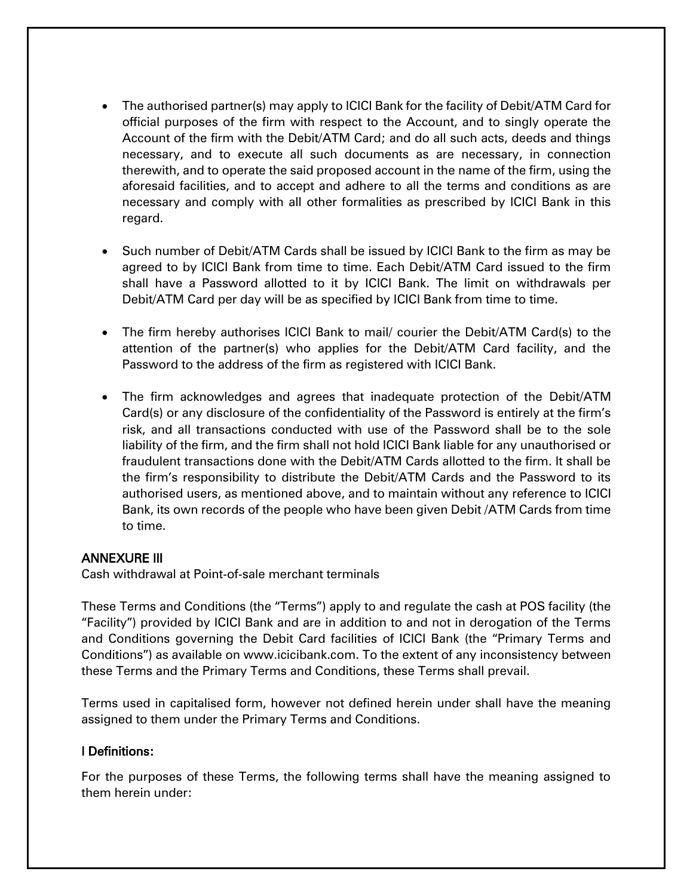- The authorised partner(s) may apply to ICICI Bank for the facility of Debit/ATM Card for official purposes of the firm with respect to the Account, and to singly operate the Account of the firm with the Debit/ATM Card; and do all such acts, deeds and things necessary, and to execute all such documents as are necessary, in connection therewith, and to operate the said proposed account in the name of the firm, using the aforesaid facilities, and to accept and adhere to all the terms and conditions as are necessary and comply with all other formalities as prescribed by ICICI Bank in this regard.
- Such number of Debit/ATM Cards shall be issued by ICICI Bank to the firm as may be agreed to by ICICI Bank from time to time. Each Debit/ATM Card issued to the firm shall have a Password allotted to it by ICICI Bank. The limit on withdrawals per Debit/ATM Card per day will be as specified by ICICI Bank from time to time.
- The firm hereby authorises ICICI Bank to mail/ courier the Debit/ATM Card(s) to the attention of the partner(s) who applies for the Debit/ATM Card facility, and the Password to the address of the firm as registered with ICICI Bank.
- The firm acknowledges and agrees that inadequate protection of the Debit/ATM Card(s) or any disclosure of the confidentiality of the Password is entirely at the firm's risk, and all transactions conducted with use of the Password shall be to the sole liability of the firm, and the firm shall not hold ICICI Bank liable for any unauthorised or fraudulent transactions done with the Debit/ATM Cards allotted to the firm. It shall be the firm's responsibility to distribute the Debit/ATM Cards and the Password to its authorised users, as mentioned above, and to maintain without any reference to ICICI Bank, its own records of the people who have been given Debit /ATM Cards from time to time.

#### ANNEXURE III

Cash withdrawal at Point-of-sale merchant terminals

These Terms and Conditions (the "Terms") apply to and regulate the cash at POS facility (the "Facility") provided by ICICI Bank and are in addition to and not in derogation of the Terms and Conditions governing the Debit Card facilities of ICICI Bank (the "Primary Terms and Conditions") as available on www.icicibank.com. To the extent of any inconsistency between these Terms and the Primary Terms and Conditions, these Terms shall prevail.

Terms used in capitalised form, however not defined herein under shall have the meaning assigned to them under the Primary Terms and Conditions.

#### I Definitions:

For the purposes of these Terms, the following terms shall have the meaning assigned to them herein under: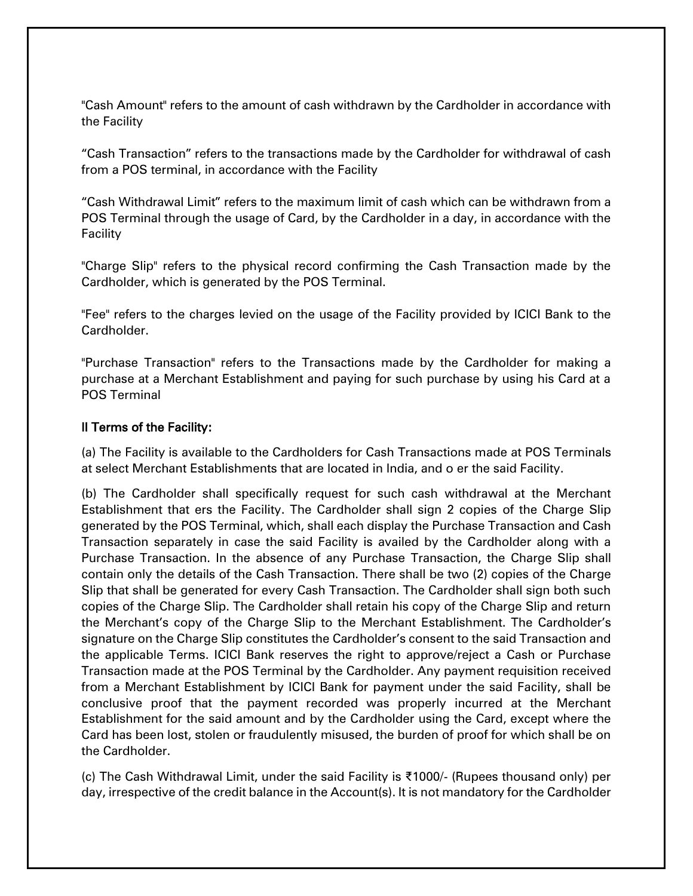"Cash Amount" refers to the amount of cash withdrawn by the Cardholder in accordance with the Facility

"Cash Transaction" refers to the transactions made by the Cardholder for withdrawal of cash from a POS terminal, in accordance with the Facility

"Cash Withdrawal Limit" refers to the maximum limit of cash which can be withdrawn from a POS Terminal through the usage of Card, by the Cardholder in a day, in accordance with the Facility

"Charge Slip" refers to the physical record confirming the Cash Transaction made by the Cardholder, which is generated by the POS Terminal.

"Fee" refers to the charges levied on the usage of the Facility provided by ICICI Bank to the Cardholder.

"Purchase Transaction" refers to the Transactions made by the Cardholder for making a purchase at a Merchant Establishment and paying for such purchase by using his Card at a POS Terminal

### II Terms of the Facility:

(a) The Facility is available to the Cardholders for Cash Transactions made at POS Terminals at select Merchant Establishments that are located in India, and o er the said Facility.

(b) The Cardholder shall specifically request for such cash withdrawal at the Merchant Establishment that ers the Facility. The Cardholder shall sign 2 copies of the Charge Slip generated by the POS Terminal, which, shall each display the Purchase Transaction and Cash Transaction separately in case the said Facility is availed by the Cardholder along with a Purchase Transaction. In the absence of any Purchase Transaction, the Charge Slip shall contain only the details of the Cash Transaction. There shall be two (2) copies of the Charge Slip that shall be generated for every Cash Transaction. The Cardholder shall sign both such copies of the Charge Slip. The Cardholder shall retain his copy of the Charge Slip and return the Merchant's copy of the Charge Slip to the Merchant Establishment. The Cardholder's signature on the Charge Slip constitutes the Cardholder's consent to the said Transaction and the applicable Terms. ICICI Bank reserves the right to approve/reject a Cash or Purchase Transaction made at the POS Terminal by the Cardholder. Any payment requisition received from a Merchant Establishment by ICICI Bank for payment under the said Facility, shall be conclusive proof that the payment recorded was properly incurred at the Merchant Establishment for the said amount and by the Cardholder using the Card, except where the Card has been lost, stolen or fraudulently misused, the burden of proof for which shall be on the Cardholder.

(c) The Cash Withdrawal Limit, under the said Facility is ₹1000/- (Rupees thousand only) per day, irrespective of the credit balance in the Account(s). It is not mandatory for the Cardholder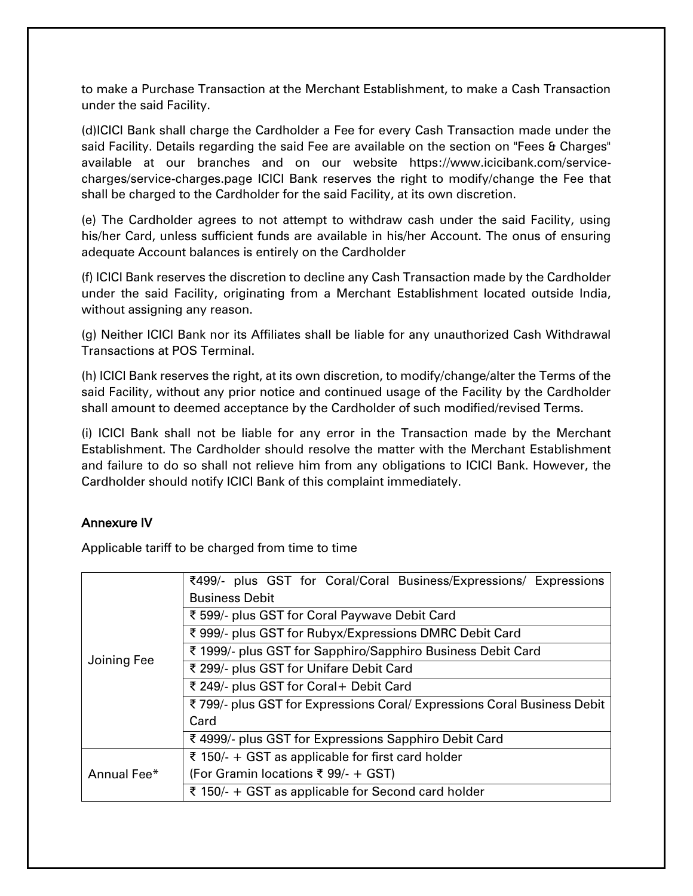to make a Purchase Transaction at the Merchant Establishment, to make a Cash Transaction under the said Facility.

(d)ICICI Bank shall charge the Cardholder a Fee for every Cash Transaction made under the said Facility. Details regarding the said Fee are available on the section on "Fees & Charges" available at our branches and on our website https://www.icicibank.com/servicecharges/service-charges.page ICICI Bank reserves the right to modify/change the Fee that shall be charged to the Cardholder for the said Facility, at its own discretion.

(e) The Cardholder agrees to not attempt to withdraw cash under the said Facility, using his/her Card, unless sufficient funds are available in his/her Account. The onus of ensuring adequate Account balances is entirely on the Cardholder

(f) ICICI Bank reserves the discretion to decline any Cash Transaction made by the Cardholder under the said Facility, originating from a Merchant Establishment located outside India, without assigning any reason.

(g) Neither ICICI Bank nor its Affiliates shall be liable for any unauthorized Cash Withdrawal Transactions at POS Terminal.

(h) ICICI Bank reserves the right, at its own discretion, to modify/change/alter the Terms of the said Facility, without any prior notice and continued usage of the Facility by the Cardholder shall amount to deemed acceptance by the Cardholder of such modified/revised Terms.

(i) ICICI Bank shall not be liable for any error in the Transaction made by the Merchant Establishment. The Cardholder should resolve the matter with the Merchant Establishment and failure to do so shall not relieve him from any obligations to ICICI Bank. However, the Cardholder should notify ICICI Bank of this complaint immediately.

# Annexure IV

Applicable tariff to be charged from time to time

| Joining Fee | ₹499/- plus GST for Coral/Coral Business/Expressions/ Expressions       |
|-------------|-------------------------------------------------------------------------|
|             | <b>Business Debit</b>                                                   |
|             | ₹ 599/- plus GST for Coral Paywave Debit Card                           |
|             | ₹ 999/- plus GST for Rubyx/Expressions DMRC Debit Card                  |
|             | ₹ 1999/- plus GST for Sapphiro/Sapphiro Business Debit Card             |
|             | ₹ 299/- plus GST for Unifare Debit Card                                 |
|             | ₹ 249/- plus GST for Coral+ Debit Card                                  |
|             | ₹799/- plus GST for Expressions Coral/ Expressions Coral Business Debit |
|             | Card                                                                    |
|             | ₹ 4999/- plus GST for Expressions Sapphiro Debit Card                   |
| Annual Fee* | ₹ 150/- + GST as applicable for first card holder                       |
|             | (For Gramin locations ₹ 99/- + GST)                                     |
|             | ₹ 150/- + GST as applicable for Second card holder                      |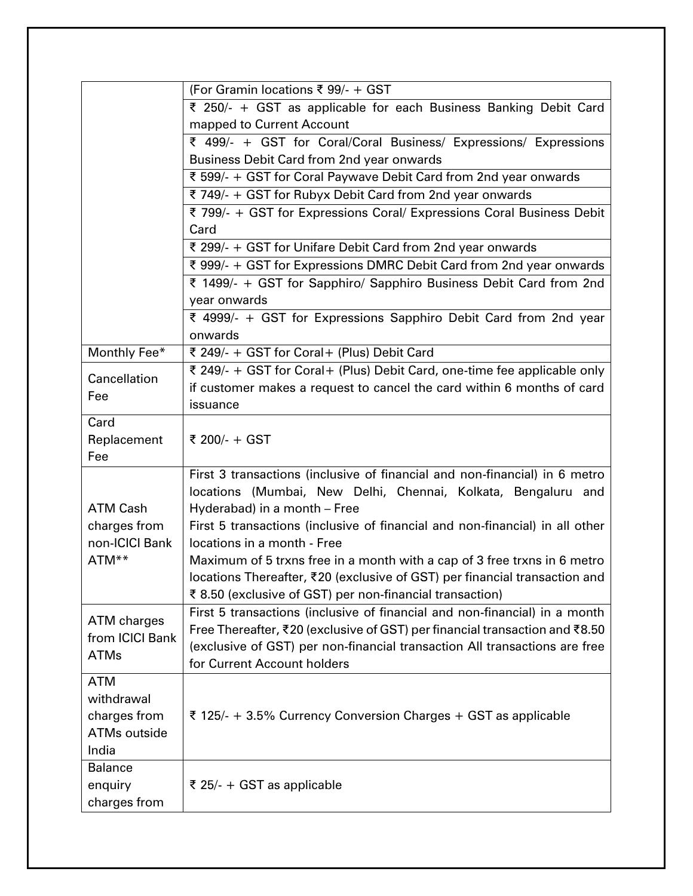|                 | (For Gramin locations ₹ 99/- + GST                                                                                                                        |
|-----------------|-----------------------------------------------------------------------------------------------------------------------------------------------------------|
|                 | ₹ 250/- + GST as applicable for each Business Banking Debit Card                                                                                          |
|                 | mapped to Current Account                                                                                                                                 |
|                 | ₹ 499/- + GST for Coral/Coral Business/ Expressions/ Expressions                                                                                          |
|                 | Business Debit Card from 2nd year onwards                                                                                                                 |
|                 | ₹ 599/- + GST for Coral Paywave Debit Card from 2nd year onwards                                                                                          |
|                 | ₹ 749/- + GST for Rubyx Debit Card from 2nd year onwards                                                                                                  |
|                 | ₹ 799/- + GST for Expressions Coral/ Expressions Coral Business Debit                                                                                     |
|                 | Card                                                                                                                                                      |
|                 | ₹ 299/- + GST for Unifare Debit Card from 2nd year onwards                                                                                                |
|                 | ₹ 999/- + GST for Expressions DMRC Debit Card from 2nd year onwards                                                                                       |
|                 | ₹ 1499/- + GST for Sapphiro/ Sapphiro Business Debit Card from 2nd                                                                                        |
|                 | year onwards                                                                                                                                              |
|                 | ₹ 4999/- + GST for Expressions Sapphiro Debit Card from 2nd year                                                                                          |
|                 | onwards                                                                                                                                                   |
| Monthly Fee*    | ₹ 249/- + GST for Coral+ (Plus) Debit Card                                                                                                                |
| Cancellation    | ₹ 249/- + GST for Coral+ (Plus) Debit Card, one-time fee applicable only                                                                                  |
| Fee             | if customer makes a request to cancel the card within 6 months of card                                                                                    |
|                 | issuance                                                                                                                                                  |
| Card            |                                                                                                                                                           |
| Replacement     | ₹ 200/- + GST                                                                                                                                             |
| Fee             |                                                                                                                                                           |
|                 | First 3 transactions (inclusive of financial and non-financial) in 6 metro                                                                                |
|                 | locations (Mumbai, New Delhi, Chennai, Kolkata, Bengaluru and                                                                                             |
| <b>ATM Cash</b> | Hyderabad) in a month - Free                                                                                                                              |
| charges from    | First 5 transactions (inclusive of financial and non-financial) in all other                                                                              |
| non-ICICI Bank  | locations in a month - Free                                                                                                                               |
| ATM**           | Maximum of 5 trxns free in a month with a cap of 3 free trxns in 6 metro                                                                                  |
|                 | locations Thereafter, ₹20 (exclusive of GST) per financial transaction and                                                                                |
|                 | ₹8.50 (exclusive of GST) per non-financial transaction)                                                                                                   |
| ATM charges     | First 5 transactions (inclusive of financial and non-financial) in a month<br>Free Thereafter, ₹20 (exclusive of GST) per financial transaction and ₹8.50 |
| from ICICI Bank | (exclusive of GST) per non-financial transaction All transactions are free                                                                                |
| <b>ATMs</b>     | for Current Account holders                                                                                                                               |
| <b>ATM</b>      |                                                                                                                                                           |
| withdrawal      |                                                                                                                                                           |
| charges from    | ₹ 125/- + 3.5% Currency Conversion Charges + GST as applicable                                                                                            |
| ATMs outside    |                                                                                                                                                           |
| India           |                                                                                                                                                           |
| <b>Balance</b>  |                                                                                                                                                           |
| enquiry         | ₹ 25/- + GST as applicable                                                                                                                                |
| charges from    |                                                                                                                                                           |
|                 |                                                                                                                                                           |